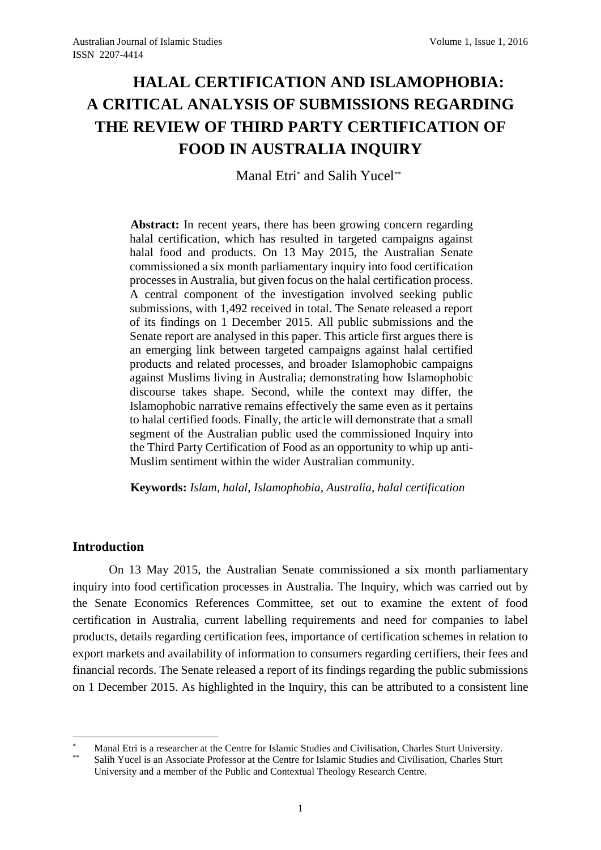# **HALAL CERTIFICATION AND ISLAMOPHOBIA: A CRITICAL ANALYSIS OF SUBMISSIONS REGARDING THE REVIEW OF THIRD PARTY CERTIFICATION OF FOOD IN AUSTRALIA INQUIRY**

Manal Etri\* and Salih Yucel\*\*

**Abstract:** In recent years, there has been growing concern regarding halal certification, which has resulted in targeted campaigns against halal food and products. On 13 May 2015, the Australian Senate commissioned a six month parliamentary inquiry into food certification processes in Australia, but given focus on the halal certification process. A central component of the investigation involved seeking public submissions, with 1,492 received in total. The Senate released a report of its findings on 1 December 2015. All public submissions and the Senate report are analysed in this paper. This article first argues there is an emerging link between targeted campaigns against halal certified products and related processes, and broader Islamophobic campaigns against Muslims living in Australia; demonstrating how Islamophobic discourse takes shape. Second, while the context may differ, the Islamophobic narrative remains effectively the same even as it pertains to halal certified foods. Finally, the article will demonstrate that a small segment of the Australian public used the commissioned Inquiry into the Third Party Certification of Food as an opportunity to whip up anti-Muslim sentiment within the wider Australian community.

**Keywords:** *Islam, halal, Islamophobia, Australia, halal certification*

# **Introduction**

1

On 13 May 2015, the Australian Senate commissioned a six month parliamentary inquiry into food certification processes in Australia. The Inquiry, which was carried out by the Senate Economics References Committee, set out to examine the extent of food certification in Australia, current labelling requirements and need for companies to label products, details regarding certification fees, importance of certification schemes in relation to export markets and availability of information to consumers regarding certifiers, their fees and financial records. The Senate released a report of its findings regarding the public submissions on 1 December 2015. As highlighted in the Inquiry, this can be attributed to a consistent line

<sup>\*</sup> Manal Etri is a researcher at the Centre for Islamic Studies and Civilisation, Charles Sturt University.

Salih Yucel is an Associate Professor at the Centre for Islamic Studies and Civilisation, Charles Sturt University and a member of the Public and Contextual Theology Research Centre.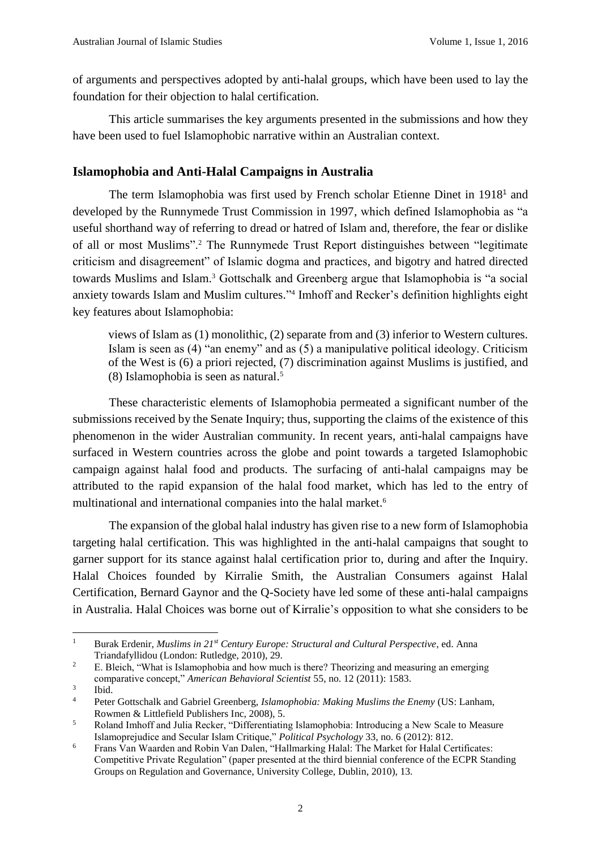of arguments and perspectives adopted by anti-halal groups, which have been used to lay the foundation for their objection to halal certification.

This article summarises the key arguments presented in the submissions and how they have been used to fuel Islamophobic narrative within an Australian context.

# **Islamophobia and Anti-Halal Campaigns in Australia**

The term Islamophobia was first used by French scholar Etienne Dinet in 1918<sup>1</sup> and developed by the Runnymede Trust Commission in 1997, which defined Islamophobia as "a useful shorthand way of referring to dread or hatred of Islam and, therefore, the fear or dislike of all or most Muslims".<sup>2</sup> The Runnymede Trust Report distinguishes between "legitimate criticism and disagreement" of Islamic dogma and practices, and bigotry and hatred directed towards Muslims and Islam.<sup>3</sup> Gottschalk and Greenberg argue that Islamophobia is "a social anxiety towards Islam and Muslim cultures." 4 Imhoff and Recker's definition highlights eight key features about Islamophobia:

views of Islam as (1) monolithic, (2) separate from and (3) inferior to Western cultures. Islam is seen as (4) "an enemy" and as (5) a manipulative political ideology. Criticism of the West is (6) a priori rejected, (7) discrimination against Muslims is justified, and (8) Islamophobia is seen as natural. 5

These characteristic elements of Islamophobia permeated a significant number of the submissions received by the Senate Inquiry; thus, supporting the claims of the existence of this phenomenon in the wider Australian community. In recent years, anti-halal campaigns have surfaced in Western countries across the globe and point towards a targeted Islamophobic campaign against halal food and products. The surfacing of anti-halal campaigns may be attributed to the rapid expansion of the halal food market, which has led to the entry of multinational and international companies into the halal market. 6

The expansion of the global halal industry has given rise to a new form of Islamophobia targeting halal certification. This was highlighted in the anti-halal campaigns that sought to garner support for its stance against halal certification prior to, during and after the Inquiry. Halal Choices founded by Kirralie Smith, the Australian Consumers against Halal Certification, Bernard Gaynor and the Q-Society have led some of these anti-halal campaigns in Australia. Halal Choices was borne out of Kirralie's opposition to what she considers to be

 $\mathbf{1}$ <sup>1</sup> Burak Erdenir, *Muslims in 21st Century Europe: Structural and Cultural Perspective*, ed. Anna Triandafyllidou (London: Rutledge, 2010), 29.

<sup>&</sup>lt;sup>2</sup> E. Bleich, "What is Islamophobia and how much is there? Theorizing and measuring an emerging comparative concept," *American Behavioral Scientist* 55, no. 12 (2011): 1583.

<sup>3</sup> Ibid.

<sup>4</sup> Peter Gottschalk and Gabriel Greenberg, *Islamophobia: Making Muslims the Enemy* (US: Lanham, Rowmen & Littlefield Publishers Inc, 2008), 5.

<sup>5</sup> Roland Imhoff and Julia Recker, "Differentiating Islamophobia: Introducing a New Scale to Measure Islamoprejudice and Secular Islam Critique," *Political Psychology* 33, no. 6 (2012): 812.

<sup>&</sup>lt;sup>6</sup> Frans Van Waarden and Robin Van Dalen, "Hallmarking Halal: The Market for Halal Certificates: Competitive Private Regulation" (paper presented at the third biennial conference of the ECPR Standing Groups on Regulation and Governance, University College, Dublin, 2010), 13.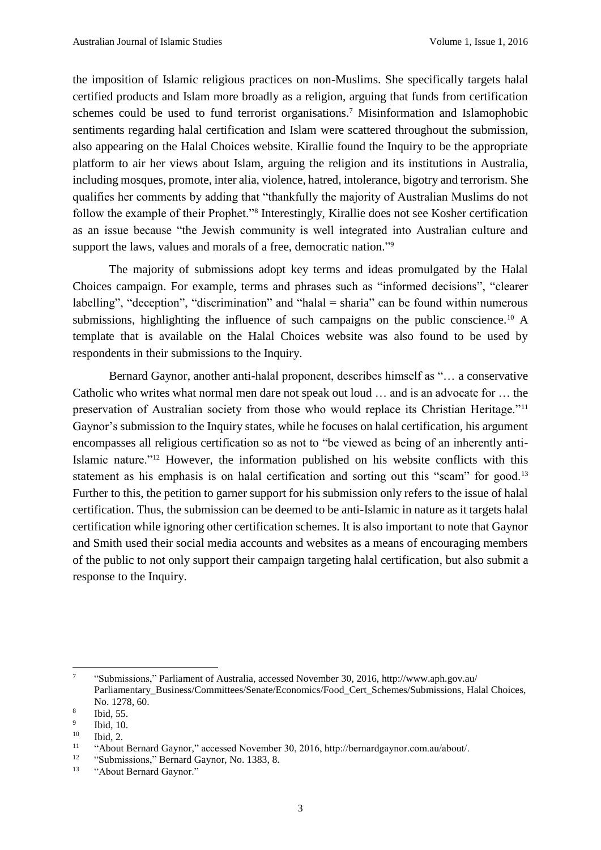the imposition of Islamic religious practices on non-Muslims. She specifically targets halal certified products and Islam more broadly as a religion, arguing that funds from certification schemes could be used to fund terrorist organisations. <sup>7</sup> Misinformation and Islamophobic sentiments regarding halal certification and Islam were scattered throughout the submission, also appearing on the Halal Choices website. Kirallie found the Inquiry to be the appropriate platform to air her views about Islam, arguing the religion and its institutions in Australia, including mosques, promote, inter alia, violence, hatred, intolerance, bigotry and terrorism. She qualifies her comments by adding that "thankfully the majority of Australian Muslims do not follow the example of their Prophet."<sup>8</sup> Interestingly, Kirallie does not see Kosher certification as an issue because "the Jewish community is well integrated into Australian culture and support the laws, values and morals of a free, democratic nation."<sup>9</sup>

The majority of submissions adopt key terms and ideas promulgated by the Halal Choices campaign. For example, terms and phrases such as "informed decisions", "clearer labelling", "deception", "discrimination" and "halal = sharia" can be found within numerous submissions, highlighting the influence of such campaigns on the public conscience.<sup>10</sup> A template that is available on the Halal Choices website was also found to be used by respondents in their submissions to the Inquiry.

Bernard Gaynor, another anti-halal proponent, describes himself as "… a conservative Catholic who writes what normal men dare not speak out loud … and is an advocate for … the preservation of Australian society from those who would replace its Christian Heritage."<sup>11</sup> Gaynor's submission to the Inquiry states, while he focuses on halal certification, his argument encompasses all religious certification so as not to "be viewed as being of an inherently anti-Islamic nature."<sup>12</sup> However, the information published on his website conflicts with this statement as his emphasis is on halal certification and sorting out this "scam" for good.<sup>13</sup> Further to this, the petition to garner support for his submission only refers to the issue of halal certification. Thus, the submission can be deemed to be anti-Islamic in nature as it targets halal certification while ignoring other certification schemes. It is also important to note that Gaynor and Smith used their social media accounts and websites as a means of encouraging members of the public to not only support their campaign targeting halal certification, but also submit a response to the Inquiry.

 $\overline{a}$ 

<sup>7</sup> "Submissions," Parliament of Australia, accessed November 30, 2016, http://www.aph.gov.au/ Parliamentary\_Business/Committees/Senate/Economics/Food\_Cert\_Schemes/Submissions, Halal Choices, No. 1278, 60.

<sup>8</sup> Ibid, 55.

<sup>9</sup> Ibid, 10.

 $10$  Ibid, 2.

<sup>11</sup> "About Bernard Gaynor," accessed November 30, 2016, http://bernardgaynor.com.au/about/.

<sup>&</sup>lt;sup>12</sup> "Submissions," Bernard Gaynor, No. 1383, 8.

<sup>13</sup> "About Bernard Gaynor."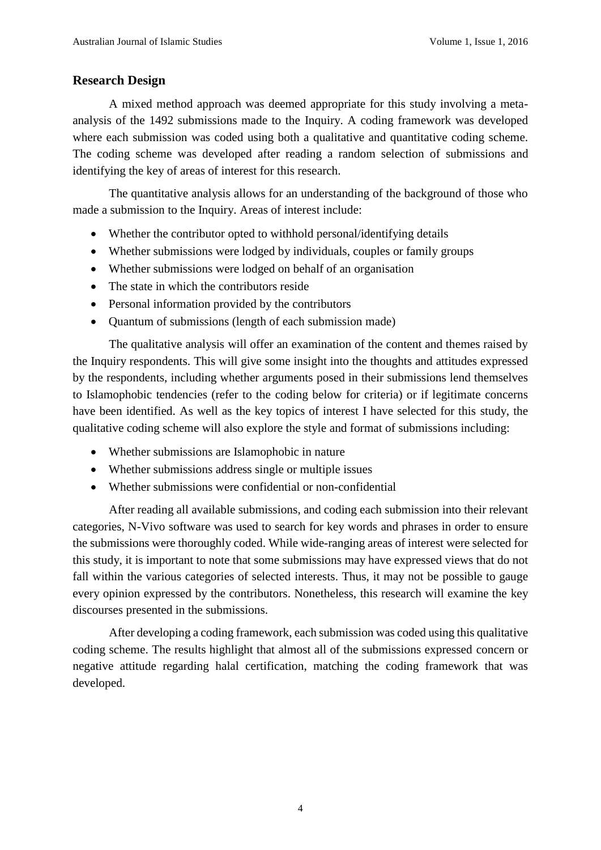# **Research Design**

A mixed method approach was deemed appropriate for this study involving a metaanalysis of the 1492 submissions made to the Inquiry. A coding framework was developed where each submission was coded using both a qualitative and quantitative coding scheme. The coding scheme was developed after reading a random selection of submissions and identifying the key of areas of interest for this research.

The quantitative analysis allows for an understanding of the background of those who made a submission to the Inquiry. Areas of interest include:

- Whether the contributor opted to withhold personal/identifying details
- Whether submissions were lodged by individuals, couples or family groups
- Whether submissions were lodged on behalf of an organisation
- The state in which the contributors reside
- Personal information provided by the contributors
- Quantum of submissions (length of each submission made)

The qualitative analysis will offer an examination of the content and themes raised by the Inquiry respondents. This will give some insight into the thoughts and attitudes expressed by the respondents, including whether arguments posed in their submissions lend themselves to Islamophobic tendencies (refer to the coding below for criteria) or if legitimate concerns have been identified. As well as the key topics of interest I have selected for this study, the qualitative coding scheme will also explore the style and format of submissions including:

- Whether submissions are Islamophobic in nature
- Whether submissions address single or multiple issues
- Whether submissions were confidential or non-confidential

After reading all available submissions, and coding each submission into their relevant categories, N-Vivo software was used to search for key words and phrases in order to ensure the submissions were thoroughly coded. While wide-ranging areas of interest were selected for this study, it is important to note that some submissions may have expressed views that do not fall within the various categories of selected interests. Thus, it may not be possible to gauge every opinion expressed by the contributors. Nonetheless, this research will examine the key discourses presented in the submissions.

After developing a coding framework, each submission was coded using this qualitative coding scheme. The results highlight that almost all of the submissions expressed concern or negative attitude regarding halal certification, matching the coding framework that was developed.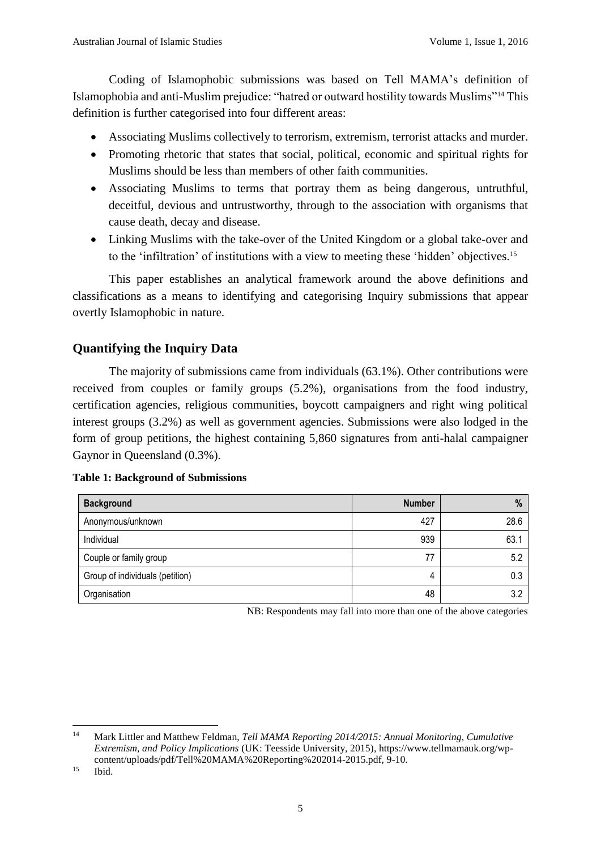Coding of Islamophobic submissions was based on Tell MAMA's definition of Islamophobia and anti-Muslim prejudice: "hatred or outward hostility towards Muslims"<sup>14</sup> This definition is further categorised into four different areas:

- Associating Muslims collectively to terrorism, extremism, terrorist attacks and murder.
- Promoting rhetoric that states that social, political, economic and spiritual rights for Muslims should be less than members of other faith communities.
- Associating Muslims to terms that portray them as being dangerous, untruthful, deceitful, devious and untrustworthy, through to the association with organisms that cause death, decay and disease.
- Linking Muslims with the take-over of the United Kingdom or a global take-over and to the 'infiltration' of institutions with a view to meeting these 'hidden' objectives.<sup>15</sup>

This paper establishes an analytical framework around the above definitions and classifications as a means to identifying and categorising Inquiry submissions that appear overtly Islamophobic in nature.

# **Quantifying the Inquiry Data**

The majority of submissions came from individuals (63.1%). Other contributions were received from couples or family groups (5.2%), organisations from the food industry, certification agencies, religious communities, boycott campaigners and right wing political interest groups (3.2%) as well as government agencies. Submissions were also lodged in the form of group petitions, the highest containing 5,860 signatures from anti-halal campaigner Gaynor in Queensland (0.3%).

|  |  | <b>Table 1: Background of Submissions</b> |  |  |  |
|--|--|-------------------------------------------|--|--|--|
|--|--|-------------------------------------------|--|--|--|

| <b>Background</b>               | <b>Number</b> | %    |
|---------------------------------|---------------|------|
| Anonymous/unknown               | 427           | 28.6 |
| Individual                      | 939           | 63.1 |
| Couple or family group          | 77            | 5.2  |
| Group of individuals (petition) | 4             | 0.3  |
| Organisation                    | 48            | 3.2  |

NB: Respondents may fall into more than one of the above categories

<sup>15</sup> Ibid.

 $14$ <sup>14</sup> Mark Littler and Matthew Feldman, *Tell MAMA Reporting 2014/2015: Annual Monitoring, Cumulative Extremism, and Policy Implications* (UK: Teesside University, 2015), https://www.tellmamauk.org/wpcontent/uploads/pdf/Tell%20MAMA%20Reporting%202014-2015.pdf, 9-10.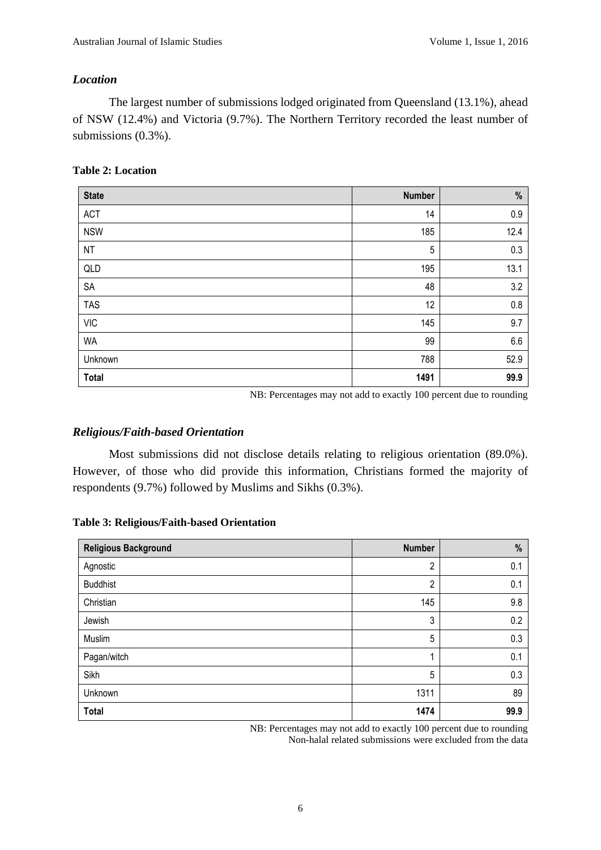## *Location*

The largest number of submissions lodged originated from Queensland (13.1%), ahead of NSW (12.4%) and Victoria (9.7%). The Northern Territory recorded the least number of submissions (0.3%).

## **Table 2: Location**

| <b>State</b> | <b>Number</b> | $\%$ |
|--------------|---------------|------|
| <b>ACT</b>   | 14            | 0.9  |
| <b>NSW</b>   | 185           | 12.4 |
| <b>NT</b>    | 5             | 0.3  |
| QLD          | 195           | 13.1 |
| SA           | 48            | 3.2  |
| <b>TAS</b>   | 12            | 0.8  |
| <b>VIC</b>   | 145           | 9.7  |
| <b>WA</b>    | 99            | 6.6  |
| Unknown      | 788           | 52.9 |
| <b>Total</b> | 1491          | 99.9 |

NB: Percentages may not add to exactly 100 percent due to rounding

## *Religious/Faith-based Orientation*

Most submissions did not disclose details relating to religious orientation (89.0%). However, of those who did provide this information, Christians formed the majority of respondents (9.7%) followed by Muslims and Sikhs (0.3%).

#### **Table 3: Religious/Faith-based Orientation**

| <b>Religious Background</b> | <b>Number</b>  | %    |
|-----------------------------|----------------|------|
| Agnostic                    | $\overline{2}$ | 0.1  |
| <b>Buddhist</b>             | $\overline{2}$ | 0.1  |
| Christian                   | 145            | 9.8  |
| Jewish                      | 3              | 0.2  |
| Muslim                      | 5              | 0.3  |
| Pagan/witch                 | ۸              | 0.1  |
| Sikh                        | 5              | 0.3  |
| Unknown                     | 1311           | 89   |
| <b>Total</b>                | 1474           | 99.9 |

NB: Percentages may not add to exactly 100 percent due to rounding Non-halal related submissions were excluded from the data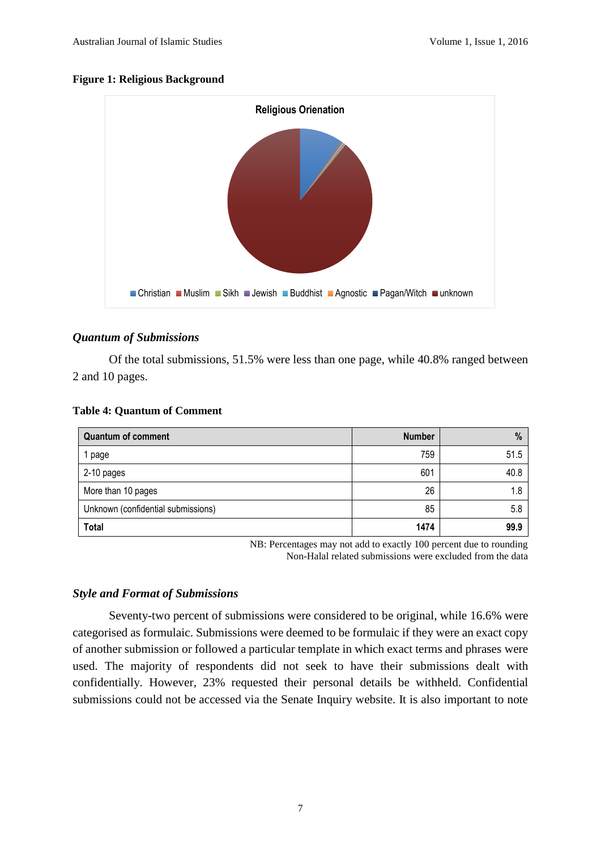#### **Figure 1: Religious Background**



## *Quantum of Submissions*

Of the total submissions, 51.5% were less than one page, while 40.8% ranged between 2 and 10 pages.

| <b>Quantum of comment</b>          | <b>Number</b> | %    |
|------------------------------------|---------------|------|
| page                               | 759           | 51.5 |
| 2-10 pages                         | 601           | 40.8 |
| More than 10 pages                 | 26            | 1.8  |
| Unknown (confidential submissions) | 85            | 5.8  |
| <b>Total</b>                       | 1474          | 99.9 |

## **Table 4: Quantum of Comment**

NB: Percentages may not add to exactly 100 percent due to rounding Non-Halal related submissions were excluded from the data

## *Style and Format of Submissions*

Seventy-two percent of submissions were considered to be original, while 16.6% were categorised as formulaic. Submissions were deemed to be formulaic if they were an exact copy of another submission or followed a particular template in which exact terms and phrases were used. The majority of respondents did not seek to have their submissions dealt with confidentially. However, 23% requested their personal details be withheld. Confidential submissions could not be accessed via the Senate Inquiry website. It is also important to note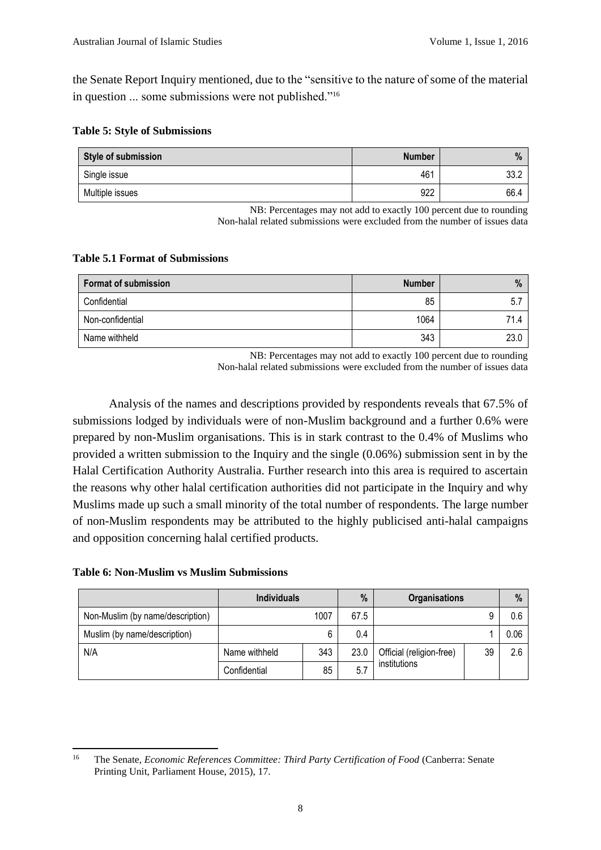the Senate Report Inquiry mentioned, due to the "sensitive to the nature of some of the material in question ... some submissions were not published."<sup>16</sup>

|  |  |  |  |  | <b>Table 5: Style of Submissions</b> |
|--|--|--|--|--|--------------------------------------|
|--|--|--|--|--|--------------------------------------|

| Style of submission | <b>Number</b> | $\%$ |
|---------------------|---------------|------|
| Single issue        | 461           | 33.2 |
| Multiple issues     | 922           | 66.4 |

NB: Percentages may not add to exactly 100 percent due to rounding Non-halal related submissions were excluded from the number of issues data

## **Table 5.1 Format of Submissions**

| <b>Format of submission</b> | <b>Number</b> | %    |
|-----------------------------|---------------|------|
| Confidential                | 85            | 5.   |
| Non-confidential            | 1064          | 71.4 |
| Name withheld               | 343           | 23.0 |

NB: Percentages may not add to exactly 100 percent due to rounding Non-halal related submissions were excluded from the number of issues data

Analysis of the names and descriptions provided by respondents reveals that 67.5% of submissions lodged by individuals were of non-Muslim background and a further 0.6% were prepared by non-Muslim organisations. This is in stark contrast to the 0.4% of Muslims who provided a written submission to the Inquiry and the single (0.06%) submission sent in by the Halal Certification Authority Australia. Further research into this area is required to ascertain the reasons why other halal certification authorities did not participate in the Inquiry and why Muslims made up such a small minority of the total number of respondents. The large number of non-Muslim respondents may be attributed to the highly publicised anti-halal campaigns and opposition concerning halal certified products.

**Table 6: Non-Muslim vs Muslim Submissions**

|                                  | <b>Individuals</b> |      | %    | <b>Organisations</b>           |  | $\frac{0}{0}$ |
|----------------------------------|--------------------|------|------|--------------------------------|--|---------------|
| Non-Muslim (by name/description) |                    | 1007 | 67.5 |                                |  | 0.6           |
| Muslim (by name/description)     |                    | 6    | 0.4  |                                |  | 0.06          |
| N/A                              | Name withheld      | 343  | 23.0 | 39<br>Official (religion-free) |  | 2.6           |
| Confidential                     |                    | 85   | 5.1  | institutions                   |  |               |

 $16$ <sup>16</sup> The Senate, *Economic References Committee: Third Party Certification of Food* (Canberra: Senate Printing Unit, Parliament House, 2015), 17.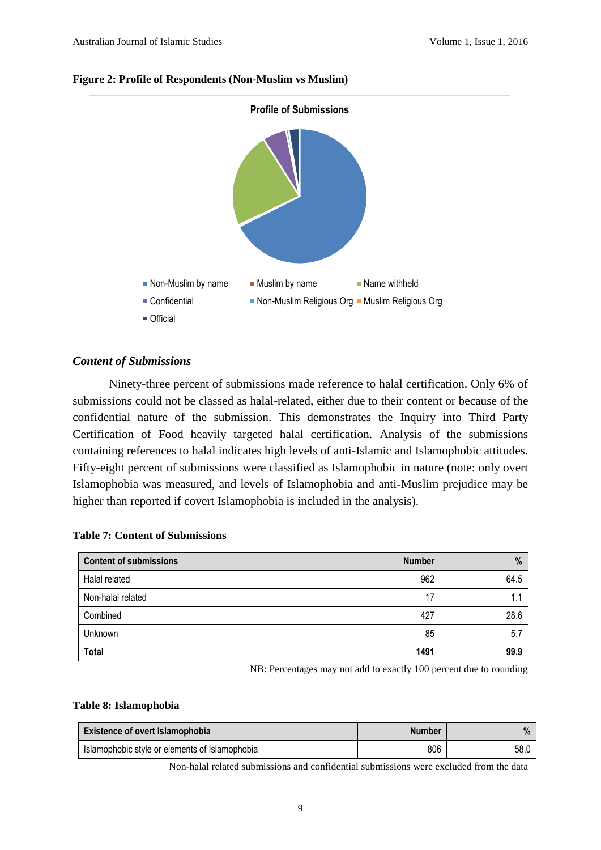



## *Content of Submissions*

Ninety-three percent of submissions made reference to halal certification. Only 6% of submissions could not be classed as halal-related, either due to their content or because of the confidential nature of the submission. This demonstrates the Inquiry into Third Party Certification of Food heavily targeted halal certification. Analysis of the submissions containing references to halal indicates high levels of anti-Islamic and Islamophobic attitudes. Fifty-eight percent of submissions were classified as Islamophobic in nature (note: only overt Islamophobia was measured, and levels of Islamophobia and anti-Muslim prejudice may be higher than reported if covert Islamophobia is included in the analysis).

| <b>Content of submissions</b> | <b>Number</b> | $\%$ |
|-------------------------------|---------------|------|
| Halal related                 | 962           | 64.5 |
| Non-halal related             | 17            |      |
| Combined                      | 427           | 28.6 |
| Unknown                       | 85            | 5.7  |
| <b>Total</b>                  | 1491          | 99.9 |

NB: Percentages may not add to exactly 100 percent due to rounding

#### **Table 8: Islamophobia**

| <b>Existence of overt Islamophobia</b>         | <b>Number</b> | $\frac{9}{6}$ |
|------------------------------------------------|---------------|---------------|
| Islamophobic style or elements of Islamophobia | 806           | 58.0          |

Non-halal related submissions and confidential submissions were excluded from the data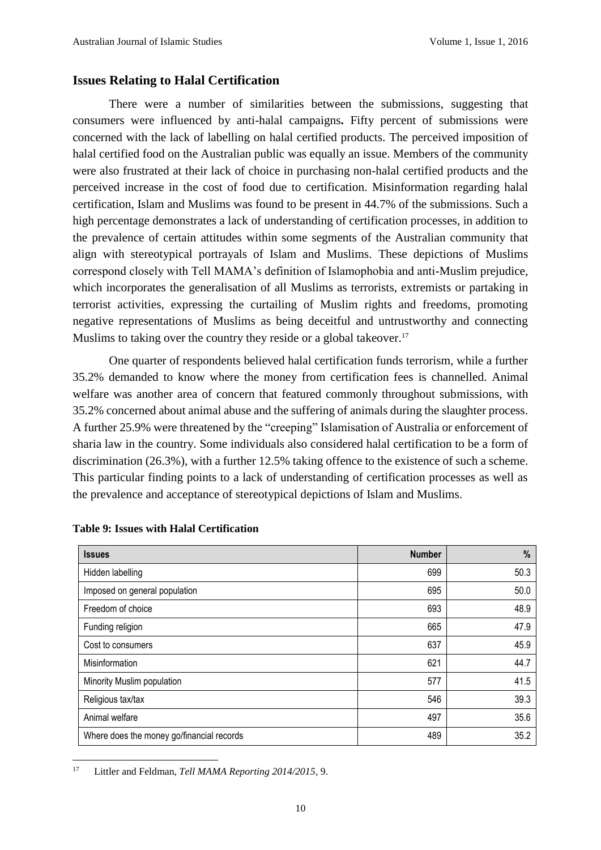## **Issues Relating to Halal Certification**

There were a number of similarities between the submissions, suggesting that consumers were influenced by anti-halal campaigns**.** Fifty percent of submissions were concerned with the lack of labelling on halal certified products. The perceived imposition of halal certified food on the Australian public was equally an issue. Members of the community were also frustrated at their lack of choice in purchasing non-halal certified products and the perceived increase in the cost of food due to certification. Misinformation regarding halal certification, Islam and Muslims was found to be present in 44.7% of the submissions. Such a high percentage demonstrates a lack of understanding of certification processes, in addition to the prevalence of certain attitudes within some segments of the Australian community that align with stereotypical portrayals of Islam and Muslims. These depictions of Muslims correspond closely with Tell MAMA's definition of Islamophobia and anti-Muslim prejudice, which incorporates the generalisation of all Muslims as terrorists, extremists or partaking in terrorist activities, expressing the curtailing of Muslim rights and freedoms, promoting negative representations of Muslims as being deceitful and untrustworthy and connecting Muslims to taking over the country they reside or a global takeover.<sup>17</sup>

One quarter of respondents believed halal certification funds terrorism, while a further 35.2% demanded to know where the money from certification fees is channelled. Animal welfare was another area of concern that featured commonly throughout submissions, with 35.2% concerned about animal abuse and the suffering of animals during the slaughter process. A further 25.9% were threatened by the "creeping" Islamisation of Australia or enforcement of sharia law in the country. Some individuals also considered halal certification to be a form of discrimination (26.3%), with a further 12.5% taking offence to the existence of such a scheme. This particular finding points to a lack of understanding of certification processes as well as the prevalence and acceptance of stereotypical depictions of Islam and Muslims.

| <b>Issues</b>                             | <b>Number</b> | $\%$ |
|-------------------------------------------|---------------|------|
| Hidden labelling                          | 699           | 50.3 |
| Imposed on general population             | 695           | 50.0 |
| Freedom of choice                         | 693           | 48.9 |
| Funding religion                          | 665           | 47.9 |
| Cost to consumers                         | 637           | 45.9 |
| Misinformation                            | 621           | 44.7 |
| Minority Muslim population                | 577           | 41.5 |
| Religious tax/tax                         | 546           | 39.3 |
| Animal welfare                            | 497           | 35.6 |
| Where does the money go/financial records | 489           | 35.2 |

#### **Table 9: Issues with Halal Certification**

 $17$ Littler and Feldman, *Tell MAMA Reporting 2014/2015*, 9.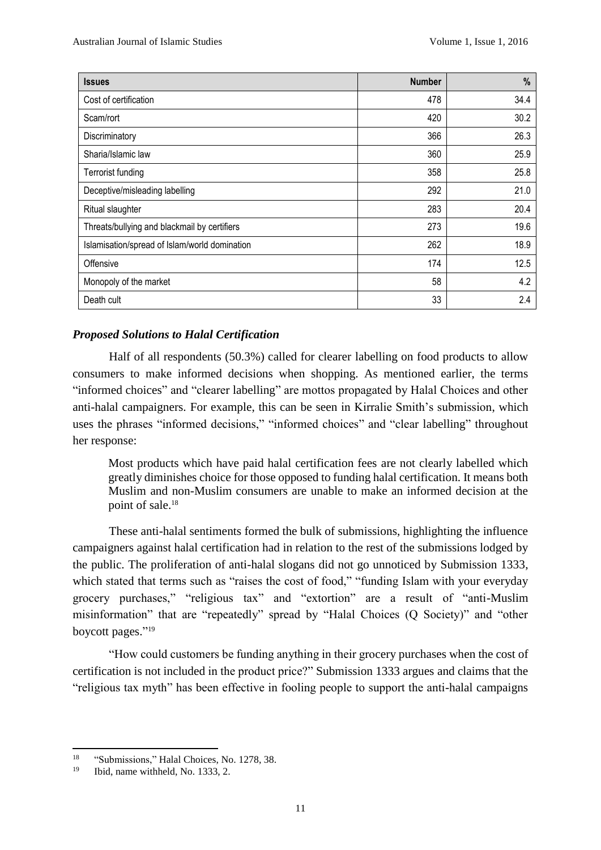| <b>Issues</b>                                 | <b>Number</b> | %    |
|-----------------------------------------------|---------------|------|
| Cost of certification                         | 478           | 34.4 |
| Scam/rort                                     | 420           | 30.2 |
| Discriminatory                                | 366           | 26.3 |
| Sharia/Islamic law                            | 360           | 25.9 |
| <b>Terrorist funding</b>                      | 358           | 25.8 |
| Deceptive/misleading labelling                | 292           | 21.0 |
| Ritual slaughter                              | 283           | 20.4 |
| Threats/bullying and blackmail by certifiers  | 273           | 19.6 |
| Islamisation/spread of Islam/world domination | 262           | 18.9 |
| Offensive                                     | 174           | 12.5 |
| Monopoly of the market                        | 58            | 4.2  |
| Death cult                                    | 33            | 2.4  |

# *Proposed Solutions to Halal Certification*

Half of all respondents (50.3%) called for clearer labelling on food products to allow consumers to make informed decisions when shopping. As mentioned earlier, the terms "informed choices" and "clearer labelling" are mottos propagated by Halal Choices and other anti-halal campaigners. For example, this can be seen in Kirralie Smith's submission, which uses the phrases "informed decisions," "informed choices" and "clear labelling" throughout her response:

Most products which have paid halal certification fees are not clearly labelled which greatly diminishes choice for those opposed to funding halal certification. It means both Muslim and non-Muslim consumers are unable to make an informed decision at the point of sale.<sup>18</sup>

These anti-halal sentiments formed the bulk of submissions, highlighting the influence campaigners against halal certification had in relation to the rest of the submissions lodged by the public. The proliferation of anti-halal slogans did not go unnoticed by Submission 1333, which stated that terms such as "raises the cost of food," "funding Islam with your everyday grocery purchases," "religious tax" and "extortion" are a result of "anti-Muslim misinformation" that are "repeatedly" spread by "Halal Choices (Q Society)" and "other boycott pages." 19

"How could customers be funding anything in their grocery purchases when the cost of certification is not included in the product price?" Submission 1333 argues and claims that the "religious tax myth" has been effective in fooling people to support the anti-halal campaigns

<sup>18</sup> <sup>18</sup> "Submissions," Halal Choices, No. 1278, 38.<br><sup>19</sup> Ibid. name withhold No. 1333. 2.

<sup>19</sup> Ibid, name withheld, No. 1333, 2.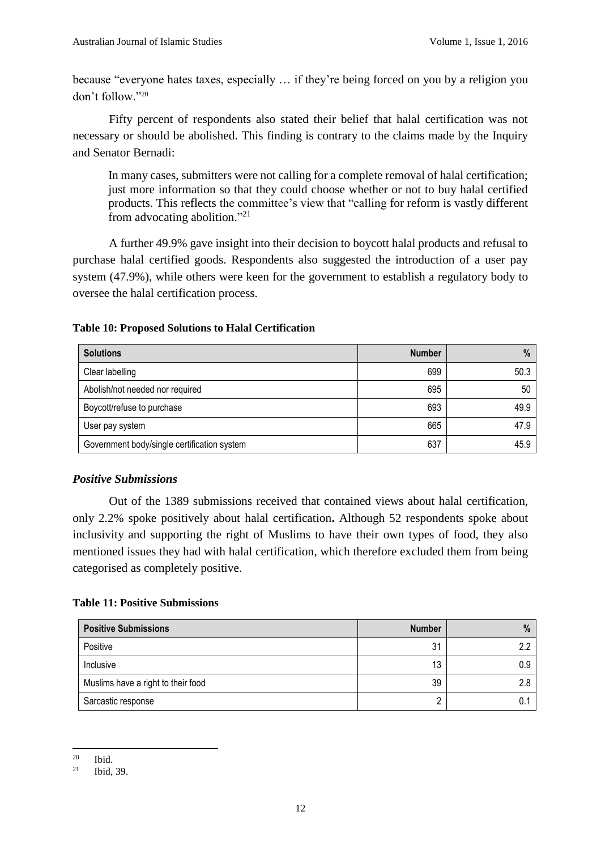because "everyone hates taxes, especially … if they're being forced on you by a religion you don't follow."<sup>20</sup>

Fifty percent of respondents also stated their belief that halal certification was not necessary or should be abolished. This finding is contrary to the claims made by the Inquiry and Senator Bernadi:

In many cases, submitters were not calling for a complete removal of halal certification; just more information so that they could choose whether or not to buy halal certified products. This reflects the committee's view that "calling for reform is vastly different from advocating abolition."<sup>21</sup>

A further 49.9% gave insight into their decision to boycott halal products and refusal to purchase halal certified goods. Respondents also suggested the introduction of a user pay system (47.9%), while others were keen for the government to establish a regulatory body to oversee the halal certification process.

## **Table 10: Proposed Solutions to Halal Certification**

| <b>Solutions</b>                            | <b>Number</b> | $\%$ |
|---------------------------------------------|---------------|------|
| Clear labelling                             | 699           | 50.3 |
| Abolish/not needed nor required             | 695           | 50   |
| Boycott/refuse to purchase                  | 693           | 49.9 |
| User pay system                             | 665           | 47.9 |
| Government body/single certification system | 637           | 45.9 |

## *Positive Submissions*

Out of the 1389 submissions received that contained views about halal certification, only 2.2% spoke positively about halal certification**.** Although 52 respondents spoke about inclusivity and supporting the right of Muslims to have their own types of food, they also mentioned issues they had with halal certification, which therefore excluded them from being categorised as completely positive.

## **Table 11: Positive Submissions**

| <b>Positive Submissions</b>        | <b>Number</b> | $\%$ |
|------------------------------------|---------------|------|
| Positive                           | 31            |      |
| Inclusive                          | 13            | 0.9  |
| Muslims have a right to their food | 39            |      |
| Sarcastic response                 |               |      |

<sup>20</sup>  $\frac{20}{21}$  Ibid.

Ibid, 39.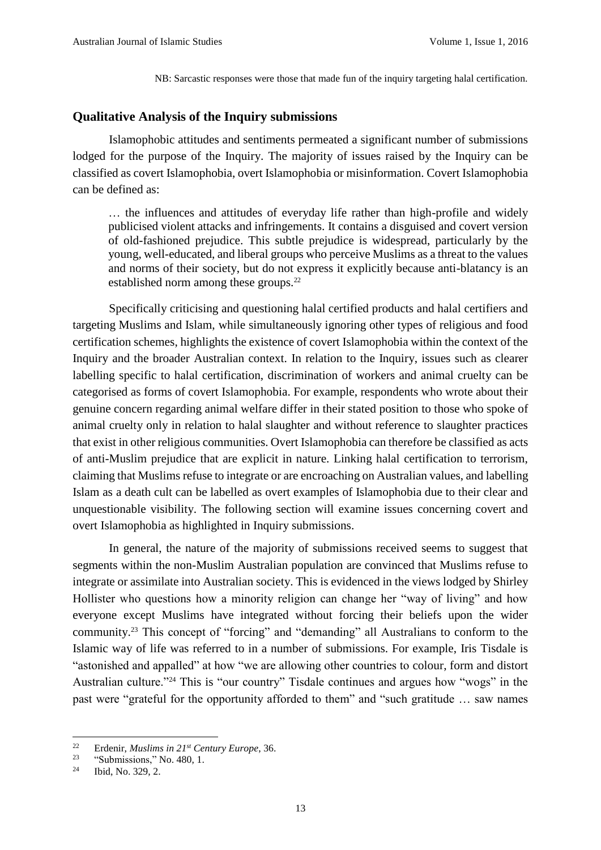NB: Sarcastic responses were those that made fun of the inquiry targeting halal certification.

## **Qualitative Analysis of the Inquiry submissions**

Islamophobic attitudes and sentiments permeated a significant number of submissions lodged for the purpose of the Inquiry. The majority of issues raised by the Inquiry can be classified as covert Islamophobia, overt Islamophobia or misinformation. Covert Islamophobia can be defined as:

… the influences and attitudes of everyday life rather than high-profile and widely publicised violent attacks and infringements. It contains a disguised and covert version of old-fashioned prejudice. This subtle prejudice is widespread, particularly by the young, well-educated, and liberal groups who perceive Muslims as a threat to the values and norms of their society, but do not express it explicitly because anti-blatancy is an established norm among these groups.<sup>22</sup>

Specifically criticising and questioning halal certified products and halal certifiers and targeting Muslims and Islam, while simultaneously ignoring other types of religious and food certification schemes, highlights the existence of covert Islamophobia within the context of the Inquiry and the broader Australian context. In relation to the Inquiry, issues such as clearer labelling specific to halal certification, discrimination of workers and animal cruelty can be categorised as forms of covert Islamophobia. For example, respondents who wrote about their genuine concern regarding animal welfare differ in their stated position to those who spoke of animal cruelty only in relation to halal slaughter and without reference to slaughter practices that exist in other religious communities. Overt Islamophobia can therefore be classified as acts of anti-Muslim prejudice that are explicit in nature. Linking halal certification to terrorism, claiming that Muslims refuse to integrate or are encroaching on Australian values, and labelling Islam as a death cult can be labelled as overt examples of Islamophobia due to their clear and unquestionable visibility. The following section will examine issues concerning covert and overt Islamophobia as highlighted in Inquiry submissions.

In general, the nature of the majority of submissions received seems to suggest that segments within the non-Muslim Australian population are convinced that Muslims refuse to integrate or assimilate into Australian society. This is evidenced in the views lodged by Shirley Hollister who questions how a minority religion can change her "way of living" and how everyone except Muslims have integrated without forcing their beliefs upon the wider community.<sup>23</sup> This concept of "forcing" and "demanding" all Australians to conform to the Islamic way of life was referred to in a number of submissions. For example, Iris Tisdale is "astonished and appalled" at how "we are allowing other countries to colour, form and distort Australian culture."<sup>24</sup> This is "our country" Tisdale continues and argues how "wogs" in the past were "grateful for the opportunity afforded to them" and "such gratitude … saw names

 $22$ <sup>22</sup> Erdenir, *Muslims in 21st Century Europe*, 36.

<sup>&</sup>quot;Submissions," No. 480, 1.

<sup>24</sup> Ibid, No. 329, 2.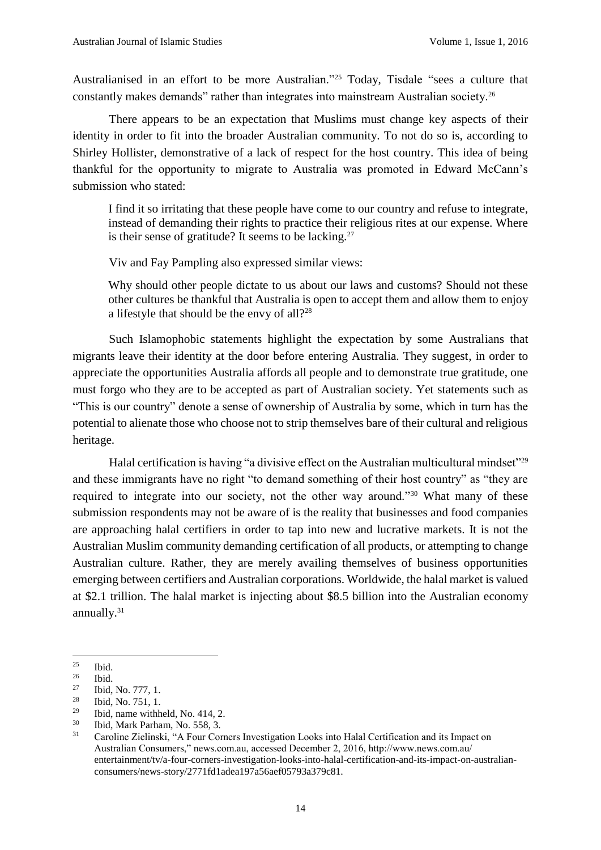Australianised in an effort to be more Australian."<sup>25</sup> Today, Tisdale "sees a culture that constantly makes demands" rather than integrates into mainstream Australian society.<sup>26</sup>

There appears to be an expectation that Muslims must change key aspects of their identity in order to fit into the broader Australian community. To not do so is, according to Shirley Hollister, demonstrative of a lack of respect for the host country. This idea of being thankful for the opportunity to migrate to Australia was promoted in Edward McCann's submission who stated:

I find it so irritating that these people have come to our country and refuse to integrate, instead of demanding their rights to practice their religious rites at our expense. Where is their sense of gratitude? It seems to be lacking.<sup>27</sup>

Viv and Fay Pampling also expressed similar views:

Why should other people dictate to us about our laws and customs? Should not these other cultures be thankful that Australia is open to accept them and allow them to enjoy a lifestyle that should be the envy of all?<sup>28</sup>

Such Islamophobic statements highlight the expectation by some Australians that migrants leave their identity at the door before entering Australia. They suggest, in order to appreciate the opportunities Australia affords all people and to demonstrate true gratitude, one must forgo who they are to be accepted as part of Australian society. Yet statements such as "This is our country" denote a sense of ownership of Australia by some, which in turn has the potential to alienate those who choose not to strip themselves bare of their cultural and religious heritage.

Halal certification is having "a divisive effect on the Australian multicultural mindset" $29$ and these immigrants have no right "to demand something of their host country" as "they are required to integrate into our society, not the other way around."<sup>30</sup> What many of these submission respondents may not be aware of is the reality that businesses and food companies are approaching halal certifiers in order to tap into new and lucrative markets. It is not the Australian Muslim community demanding certification of all products, or attempting to change Australian culture. Rather, they are merely availing themselves of business opportunities emerging between certifiers and Australian corporations. Worldwide, the halal market is valued at \$2.1 trillion. The halal market is injecting about \$8.5 billion into the Australian economy annually.<sup>31</sup>

**.** 

 $rac{25}{26}$  Ibid.

 $rac{26}{27}$  Ibid.

 $\frac{27}{28}$  Ibid, No. 777, 1.

 $\frac{28}{29}$  Ibid, No. 751, 1.

<sup>&</sup>lt;sup>29</sup> Ibid, name withheld, No. 414, 2.<br><sup>30</sup> Ibid, Mark Parham, No. 558, 3

 $30$  Ibid, Mark Parham, No. 558, 3.<br> $31$  Carolina Zialingki, "A Four Cor

<sup>31</sup> Caroline Zielinski, "A Four Corners Investigation Looks into Halal Certification and its Impact on Australian Consumers," news.com.au, accessed December 2, 2016, http://www.news.com.au/ entertainment/tv/a-four-corners-investigation-looks-into-halal-certification-and-its-impact-on-australianconsumers/news-story/2771fd1adea197a56aef05793a379c81.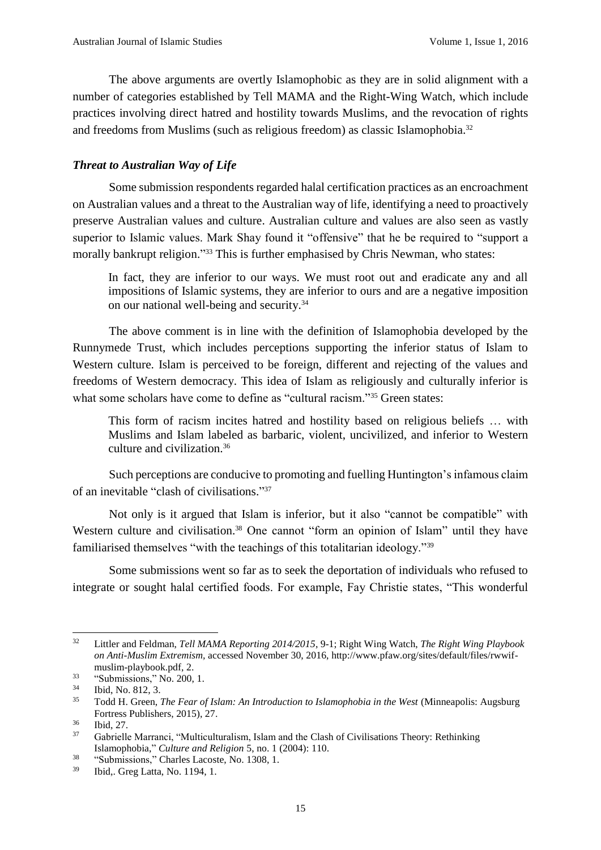The above arguments are overtly Islamophobic as they are in solid alignment with a number of categories established by Tell MAMA and the Right-Wing Watch, which include practices involving direct hatred and hostility towards Muslims, and the revocation of rights and freedoms from Muslims (such as religious freedom) as classic Islamophobia.<sup>32</sup>

## *Threat to Australian Way of Life*

Some submission respondents regarded halal certification practices as an encroachment on Australian values and a threat to the Australian way of life, identifying a need to proactively preserve Australian values and culture. Australian culture and values are also seen as vastly superior to Islamic values. Mark Shay found it "offensive" that he be required to "support a morally bankrupt religion."<sup>33</sup> This is further emphasised by Chris Newman, who states:

In fact, they are inferior to our ways. We must root out and eradicate any and all impositions of Islamic systems, they are inferior to ours and are a negative imposition on our national well-being and security.<sup>34</sup>

The above comment is in line with the definition of Islamophobia developed by the Runnymede Trust, which includes perceptions supporting the inferior status of Islam to Western culture. Islam is perceived to be foreign, different and rejecting of the values and freedoms of Western democracy. This idea of Islam as religiously and culturally inferior is what some scholars have come to define as "cultural racism."<sup>35</sup> Green states:

This form of racism incites hatred and hostility based on religious beliefs … with Muslims and Islam labeled as barbaric, violent, uncivilized, and inferior to Western culture and civilization.<sup>36</sup>

Such perceptions are conducive to promoting and fuelling Huntington's infamous claim of an inevitable "clash of civilisations." 37

Not only is it argued that Islam is inferior, but it also "cannot be compatible" with Western culture and civilisation.<sup>38</sup> One cannot "form an opinion of Islam" until they have familiarised themselves "with the teachings of this totalitarian ideology."<sup>39</sup>

Some submissions went so far as to seek the deportation of individuals who refused to integrate or sought halal certified foods. For example, Fay Christie states, "This wonderful

 $32<sup>°</sup>$ <sup>32</sup> Littler and Feldman, *Tell MAMA Reporting 2014/2015*, 9-1; Right Wing Watch, *The Right Wing Playbook on Anti-Muslim Extremism,* accessed November 30, 2016, http://www.pfaw.org/sites/default/files/rwwifmuslim-playbook.pdf, 2.

 $^{33}$  "Submissions," No. 200, 1.<br> $^{34}$  Ibid No. 812. 3

 $\frac{34}{35}$  Ibid, No. 812, 3.

<sup>35</sup> Todd H. Green, *The Fear of Islam: An Introduction to Islamophobia in the West* (Minneapolis: Augsburg Fortress Publishers, 2015), 27.

 $\frac{36}{37}$  Ibid, 27.

<sup>37</sup> Gabrielle Marranci, "Multiculturalism, Islam and the Clash of Civilisations Theory: Rethinking Islamophobia," *Culture and Religion* 5, no. 1 (2004): 110.

<sup>&</sup>lt;sup>38</sup> "Submissions," Charles Lacoste, No. 1308, 1.

<sup>39</sup> Ibid,. Greg Latta, No. 1194, 1.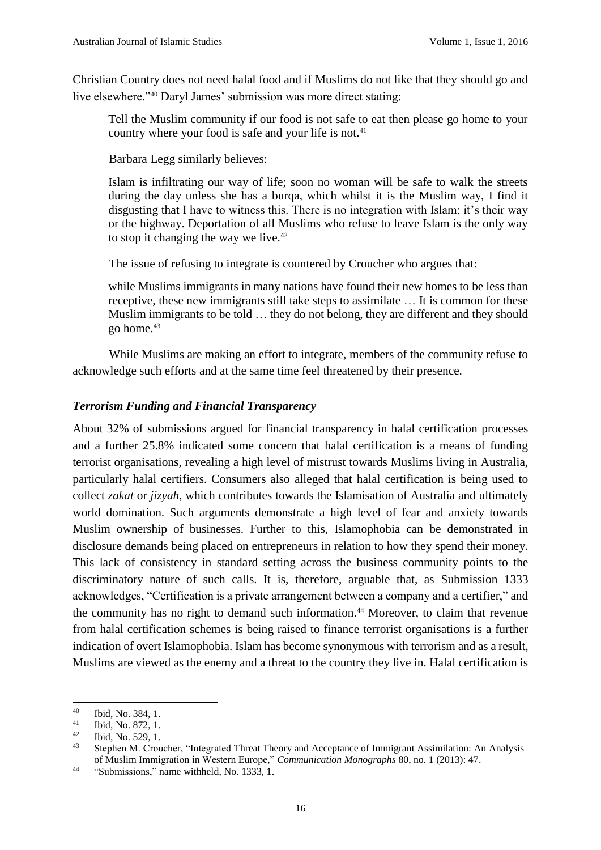Christian Country does not need halal food and if Muslims do not like that they should go and live elsewhere."<sup>40</sup> Daryl James' submission was more direct stating:

Tell the Muslim community if our food is not safe to eat then please go home to your country where your food is safe and your life is not.<sup>41</sup>

Barbara Legg similarly believes:

Islam is infiltrating our way of life; soon no woman will be safe to walk the streets during the day unless she has a burqa, which whilst it is the Muslim way, I find it disgusting that I have to witness this. There is no integration with Islam; it's their way or the highway. Deportation of all Muslims who refuse to leave Islam is the only way to stop it changing the way we live.<sup>42</sup>

The issue of refusing to integrate is countered by Croucher who argues that:

while Muslims immigrants in many nations have found their new homes to be less than receptive, these new immigrants still take steps to assimilate … It is common for these Muslim immigrants to be told … they do not belong, they are different and they should go home.<sup>43</sup>

While Muslims are making an effort to integrate, members of the community refuse to acknowledge such efforts and at the same time feel threatened by their presence.

## *Terrorism Funding and Financial Transparency*

About 32% of submissions argued for financial transparency in halal certification processes and a further 25.8% indicated some concern that halal certification is a means of funding terrorist organisations, revealing a high level of mistrust towards Muslims living in Australia, particularly halal certifiers. Consumers also alleged that halal certification is being used to collect *zakat* or *jizyah*, which contributes towards the Islamisation of Australia and ultimately world domination. Such arguments demonstrate a high level of fear and anxiety towards Muslim ownership of businesses. Further to this, Islamophobia can be demonstrated in disclosure demands being placed on entrepreneurs in relation to how they spend their money. This lack of consistency in standard setting across the business community points to the discriminatory nature of such calls. It is, therefore, arguable that, as Submission 1333 acknowledges, "Certification is a private arrangement between a company and a certifier," and the community has no right to demand such information.<sup>44</sup> Moreover, to claim that revenue from halal certification schemes is being raised to finance terrorist organisations is a further indication of overt Islamophobia. Islam has become synonymous with terrorism and as a result, Muslims are viewed as the enemy and a threat to the country they live in. Halal certification is

 $40\,$  $^{40}$  Ibid, No. 384, 1.<br> $^{41}$  Ibid, No. 872, 1

<sup>&</sup>lt;sup>41</sup> Ibid, No. 872, 1.<br><sup>42</sup> Ibid, No. 529, 1.

 $^{42}$  Ibid, No. 529, 1.

<sup>43</sup> Stephen M. Croucher, "Integrated Threat Theory and Acceptance of Immigrant Assimilation: An Analysis of Muslim Immigration in Western Europe," *Communication Monographs* 80, no. 1 (2013): 47.

<sup>&</sup>lt;sup>44</sup> "Submissions," name withheld, No. 1333, 1.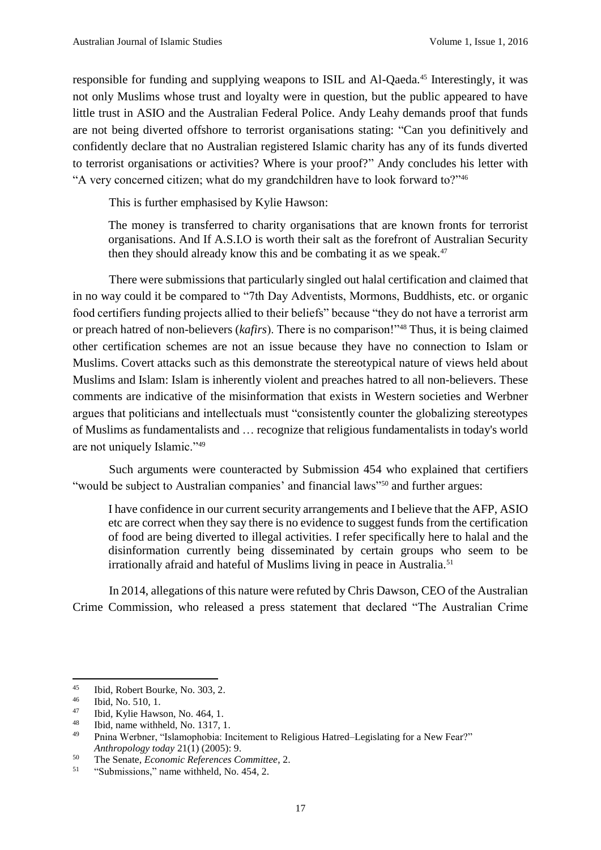responsible for funding and supplying weapons to ISIL and Al-Qaeda.<sup>45</sup> Interestingly, it was not only Muslims whose trust and loyalty were in question, but the public appeared to have little trust in ASIO and the Australian Federal Police. Andy Leahy demands proof that funds are not being diverted offshore to terrorist organisations stating: "Can you definitively and confidently declare that no Australian registered Islamic charity has any of its funds diverted to terrorist organisations or activities? Where is your proof?" Andy concludes his letter with "A very concerned citizen; what do my grandchildren have to look forward to?"<sup>46</sup>

This is further emphasised by Kylie Hawson:

The money is transferred to charity organisations that are known fronts for terrorist organisations. And If A.S.I.O is worth their salt as the forefront of Australian Security then they should already know this and be combating it as we speak.<sup>47</sup>

There were submissions that particularly singled out halal certification and claimed that in no way could it be compared to "7th Day Adventists, Mormons, Buddhists, etc. or organic food certifiers funding projects allied to their beliefs" because "they do not have a terrorist arm or preach hatred of non-believers (*kafirs*). There is no comparison!"<sup>48</sup> Thus, it is being claimed other certification schemes are not an issue because they have no connection to Islam or Muslims. Covert attacks such as this demonstrate the stereotypical nature of views held about Muslims and Islam: Islam is inherently violent and preaches hatred to all non-believers. These comments are indicative of the misinformation that exists in Western societies and Werbner argues that politicians and intellectuals must "consistently counter the globalizing stereotypes of Muslims as fundamentalists and … recognize that religious fundamentalists in today's world are not uniquely Islamic."<sup>49</sup>

Such arguments were counteracted by Submission 454 who explained that certifiers "would be subject to Australian companies' and financial laws"<sup>50</sup> and further argues:

I have confidence in our current security arrangements and I believe that the AFP, ASIO etc are correct when they say there is no evidence to suggest funds from the certification of food are being diverted to illegal activities. I refer specifically here to halal and the disinformation currently being disseminated by certain groups who seem to be irrationally afraid and hateful of Muslims living in peace in Australia.<sup>51</sup>

In 2014, allegations of this nature were refuted by Chris Dawson, CEO of the Australian Crime Commission, who released a press statement that declared "The Australian Crime

**.** 

<sup>&</sup>lt;sup>45</sup> Ibid, Robert Bourke, No. 303, 2.<br><sup>46</sup> Ibid, No. 510, 1

 $\frac{46}{47}$  Ibid, No. 510, 1.

<sup>&</sup>lt;sup>47</sup> Ibid, Kylie Hawson, No. 464, 1.<br><sup>48</sup> Ibid name withheld No. 1317 1

<sup>&</sup>lt;sup>48</sup> Ibid, name withheld, No. 1317, 1.<br><sup>49</sup> Prince Workpay "Jelemanhobia: In

<sup>49</sup> Pnina Werbner, "Islamophobia: Incitement to Religious Hatred–Legislating for a New Fear?" *Anthropology today* 21(1) (2005): 9.

<sup>50</sup> The Senate, *Economic References Committee*, 2.

<sup>&</sup>lt;sup>51</sup> "Submissions," name withheld, No. 454, 2.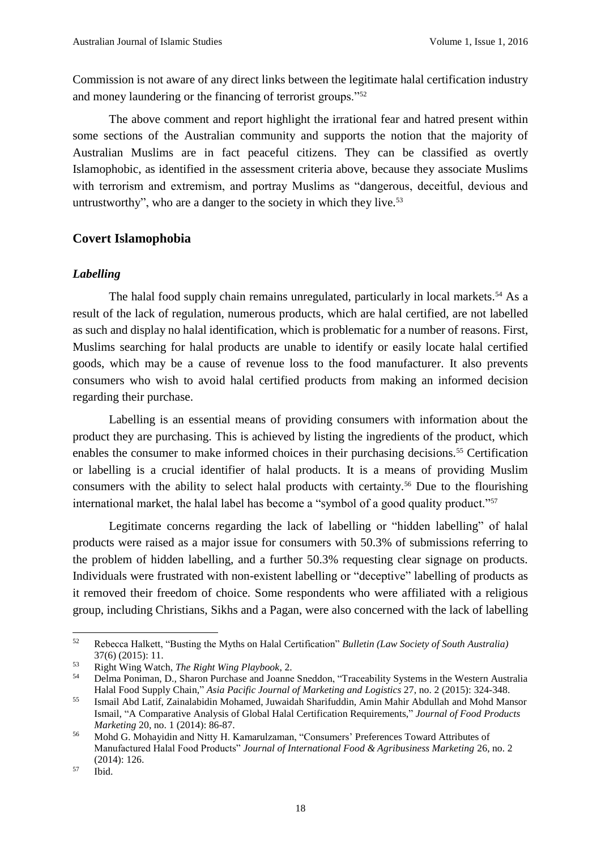Commission is not aware of any direct links between the legitimate halal certification industry and money laundering or the financing of terrorist groups."<sup>52</sup>

The above comment and report highlight the irrational fear and hatred present within some sections of the Australian community and supports the notion that the majority of Australian Muslims are in fact peaceful citizens. They can be classified as overtly Islamophobic, as identified in the assessment criteria above, because they associate Muslims with terrorism and extremism, and portray Muslims as "dangerous, deceitful, devious and untrustworthy", who are a danger to the society in which they live. $53$ 

## **Covert Islamophobia**

#### *Labelling*

The halal food supply chain remains unregulated, particularly in local markets.<sup>54</sup> As a result of the lack of regulation, numerous products, which are halal certified, are not labelled as such and display no halal identification, which is problematic for a number of reasons. First, Muslims searching for halal products are unable to identify or easily locate halal certified goods, which may be a cause of revenue loss to the food manufacturer. It also prevents consumers who wish to avoid halal certified products from making an informed decision regarding their purchase.

Labelling is an essential means of providing consumers with information about the product they are purchasing. This is achieved by listing the ingredients of the product, which enables the consumer to make informed choices in their purchasing decisions.<sup>55</sup> Certification or labelling is a crucial identifier of halal products. It is a means of providing Muslim consumers with the ability to select halal products with certainty.<sup>56</sup> Due to the flourishing international market, the halal label has become a "symbol of a good quality product."<sup>57</sup>

Legitimate concerns regarding the lack of labelling or "hidden labelling" of halal products were raised as a major issue for consumers with 50.3% of submissions referring to the problem of hidden labelling, and a further 50.3% requesting clear signage on products. Individuals were frustrated with non-existent labelling or "deceptive" labelling of products as it removed their freedom of choice. Some respondents who were affiliated with a religious group, including Christians, Sikhs and a Pagan, were also concerned with the lack of labelling

 $52$ <sup>52</sup> Rebecca Halkett, "Busting the Myths on Halal Certification" *Bulletin (Law Society of South Australia)* 37(6) (2015): 11.

<sup>53</sup> Right Wing Watch, *The Right Wing Playbook*, 2.

<sup>54</sup> Delma Poniman, D., Sharon Purchase and Joanne Sneddon, "Traceability Systems in the Western Australia Halal Food Supply Chain," *Asia Pacific Journal of Marketing and Logistics* 27, no. 2 (2015): 324-348.

<sup>55</sup> Ismail Abd Latif, Zainalabidin Mohamed, Juwaidah Sharifuddin, Amin Mahir Abdullah and Mohd Mansor Ismail, "A Comparative Analysis of Global Halal Certification Requirements," *Journal of Food Products Marketing* 20, no. 1 (2014): 86-87.

<sup>56</sup> Mohd G. Mohayidin and Nitty H. Kamarulzaman, "Consumers' Preferences Toward Attributes of Manufactured Halal Food Products" *Journal of International Food & Agribusiness Marketing* 26, no. 2 (2014): 126.

<sup>57</sup> Ibid.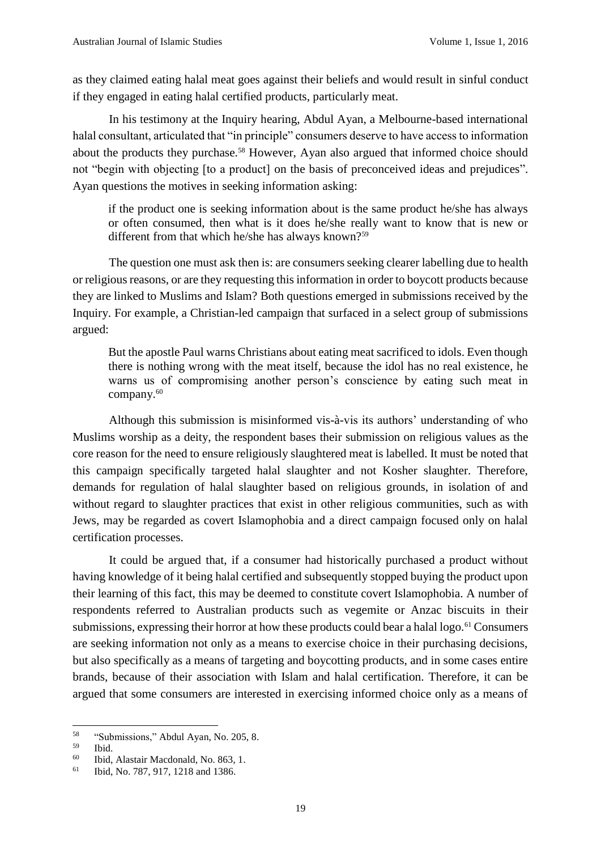as they claimed eating halal meat goes against their beliefs and would result in sinful conduct if they engaged in eating halal certified products, particularly meat.

In his testimony at the Inquiry hearing, Abdul Ayan, a Melbourne-based international halal consultant, articulated that "in principle" consumers deserve to have access to information about the products they purchase.<sup>58</sup> However, Ayan also argued that informed choice should not "begin with objecting [to a product] on the basis of preconceived ideas and prejudices". Ayan questions the motives in seeking information asking:

if the product one is seeking information about is the same product he/she has always or often consumed, then what is it does he/she really want to know that is new or different from that which he/she has always known?<sup>59</sup>

The question one must ask then is: are consumers seeking clearer labelling due to health or religious reasons, or are they requesting this information in order to boycott products because they are linked to Muslims and Islam? Both questions emerged in submissions received by the Inquiry. For example, a Christian-led campaign that surfaced in a select group of submissions argued:

But the apostle Paul warns Christians about eating meat sacrificed to idols. Even though there is nothing wrong with the meat itself, because the idol has no real existence, he warns us of compromising another person's conscience by eating such meat in company. 60

Although this submission is misinformed vis-à-vis its authors' understanding of who Muslims worship as a deity, the respondent bases their submission on religious values as the core reason for the need to ensure religiously slaughtered meat is labelled. It must be noted that this campaign specifically targeted halal slaughter and not Kosher slaughter. Therefore, demands for regulation of halal slaughter based on religious grounds, in isolation of and without regard to slaughter practices that exist in other religious communities, such as with Jews, may be regarded as covert Islamophobia and a direct campaign focused only on halal certification processes.

It could be argued that, if a consumer had historically purchased a product without having knowledge of it being halal certified and subsequently stopped buying the product upon their learning of this fact, this may be deemed to constitute covert Islamophobia. A number of respondents referred to Australian products such as vegemite or Anzac biscuits in their submissions, expressing their horror at how these products could bear a halal logo.<sup>61</sup> Consumers are seeking information not only as a means to exercise choice in their purchasing decisions, but also specifically as a means of targeting and boycotting products, and in some cases entire brands, because of their association with Islam and halal certification. Therefore, it can be argued that some consumers are interested in exercising informed choice only as a means of

<sup>58</sup>  $^{58}$  "Submissions," Abdul Ayan, No. 205, 8.

 $\begin{array}{cc} 59 & \text{Ibid.} \\ 60 & \text{Ibid.} \end{array}$ 

Ibid, Alastair Macdonald, No. 863, 1.

<sup>61</sup> Ibid, No. 787, 917, 1218 and 1386.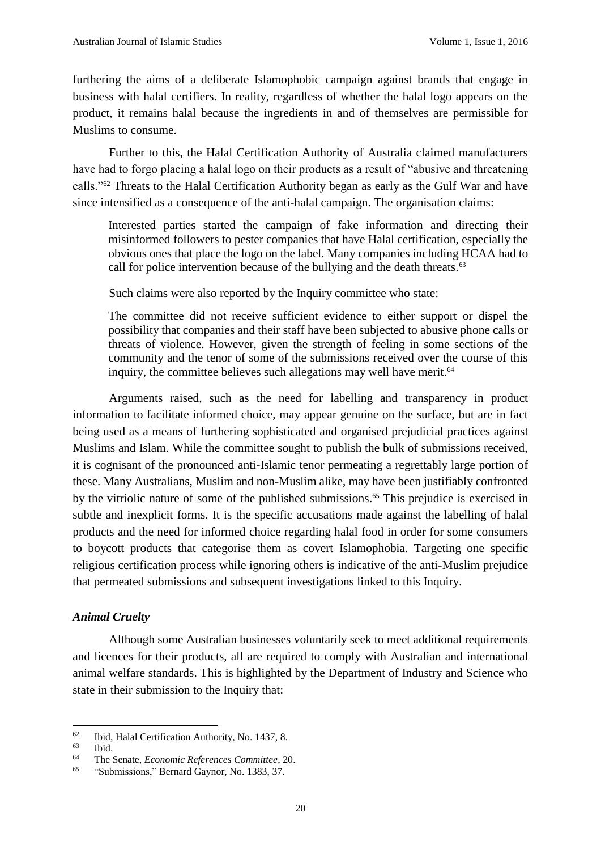furthering the aims of a deliberate Islamophobic campaign against brands that engage in business with halal certifiers. In reality, regardless of whether the halal logo appears on the product, it remains halal because the ingredients in and of themselves are permissible for Muslims to consume.

Further to this, the Halal Certification Authority of Australia claimed manufacturers have had to forgo placing a halal logo on their products as a result of "abusive and threatening calls."<sup>62</sup> Threats to the Halal Certification Authority began as early as the Gulf War and have since intensified as a consequence of the anti-halal campaign. The organisation claims:

Interested parties started the campaign of fake information and directing their misinformed followers to pester companies that have Halal certification, especially the obvious ones that place the logo on the label. Many companies including HCAA had to call for police intervention because of the bullying and the death threats.<sup>63</sup>

Such claims were also reported by the Inquiry committee who state:

The committee did not receive sufficient evidence to either support or dispel the possibility that companies and their staff have been subjected to abusive phone calls or threats of violence. However, given the strength of feeling in some sections of the community and the tenor of some of the submissions received over the course of this inquiry, the committee believes such allegations may well have merit.<sup>64</sup>

Arguments raised, such as the need for labelling and transparency in product information to facilitate informed choice, may appear genuine on the surface, but are in fact being used as a means of furthering sophisticated and organised prejudicial practices against Muslims and Islam. While the committee sought to publish the bulk of submissions received, it is cognisant of the pronounced anti-Islamic tenor permeating a regrettably large portion of these. Many Australians, Muslim and non-Muslim alike, may have been justifiably confronted by the vitriolic nature of some of the published submissions. <sup>65</sup> This prejudice is exercised in subtle and inexplicit forms. It is the specific accusations made against the labelling of halal products and the need for informed choice regarding halal food in order for some consumers to boycott products that categorise them as covert Islamophobia. Targeting one specific religious certification process while ignoring others is indicative of the anti-Muslim prejudice that permeated submissions and subsequent investigations linked to this Inquiry.

## *Animal Cruelty*

Although some Australian businesses voluntarily seek to meet additional requirements and licences for their products, all are required to comply with Australian and international animal welfare standards. This is highlighted by the Department of Industry and Science who state in their submission to the Inquiry that:

 $62$  $^{62}$  Ibid, Halal Certification Authority, No. 1437, 8.

 $\begin{array}{c} 63 \ 64 \ \end{array}$  Ibid.

<sup>64</sup> The Senate, *Economic References Committee*, 20.

<sup>65</sup> "Submissions," Bernard Gaynor, No. 1383, 37.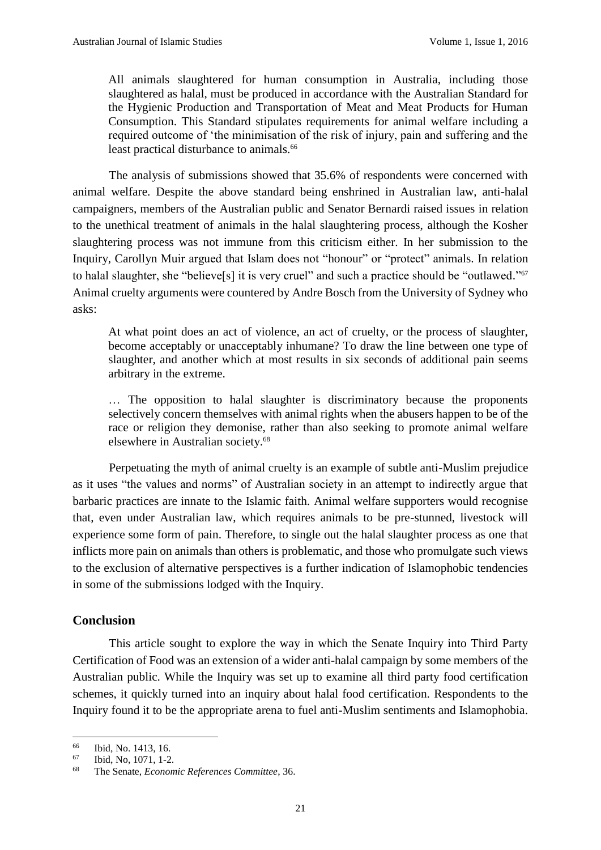All animals slaughtered for human consumption in Australia, including those slaughtered as halal, must be produced in accordance with the Australian Standard for the Hygienic Production and Transportation of Meat and Meat Products for Human Consumption. This Standard stipulates requirements for animal welfare including a required outcome of 'the minimisation of the risk of injury, pain and suffering and the least practical disturbance to animals.<sup>66</sup>

The analysis of submissions showed that 35.6% of respondents were concerned with animal welfare. Despite the above standard being enshrined in Australian law, anti-halal campaigners, members of the Australian public and Senator Bernardi raised issues in relation to the unethical treatment of animals in the halal slaughtering process, although the Kosher slaughtering process was not immune from this criticism either. In her submission to the Inquiry, Carollyn Muir argued that Islam does not "honour" or "protect" animals. In relation to halal slaughter, she "believe[s] it is very cruel" and such a practice should be "outlawed."<sup>67</sup> Animal cruelty arguments were countered by Andre Bosch from the University of Sydney who asks:

At what point does an act of violence, an act of cruelty, or the process of slaughter, become acceptably or unacceptably inhumane? To draw the line between one type of slaughter, and another which at most results in six seconds of additional pain seems arbitrary in the extreme.

… The opposition to halal slaughter is discriminatory because the proponents selectively concern themselves with animal rights when the abusers happen to be of the race or religion they demonise, rather than also seeking to promote animal welfare elsewhere in Australian society.<sup>68</sup>

Perpetuating the myth of animal cruelty is an example of subtle anti-Muslim prejudice as it uses "the values and norms" of Australian society in an attempt to indirectly argue that barbaric practices are innate to the Islamic faith. Animal welfare supporters would recognise that, even under Australian law, which requires animals to be pre-stunned, livestock will experience some form of pain. Therefore, to single out the halal slaughter process as one that inflicts more pain on animals than others is problematic, and those who promulgate such views to the exclusion of alternative perspectives is a further indication of Islamophobic tendencies in some of the submissions lodged with the Inquiry.

# **Conclusion**

This article sought to explore the way in which the Senate Inquiry into Third Party Certification of Food was an extension of a wider anti-halal campaign by some members of the Australian public. While the Inquiry was set up to examine all third party food certification schemes, it quickly turned into an inquiry about halal food certification. Respondents to the Inquiry found it to be the appropriate arena to fuel anti-Muslim sentiments and Islamophobia.

<sup>66</sup>  $^{66}$  Ibid, No. 1413, 16.<br><sup>67</sup> Ibid No. 1071, 1-2

Ibid, No, 1071, 1-2.

<sup>68</sup> The Senate, *Economic References Committee*, 36.